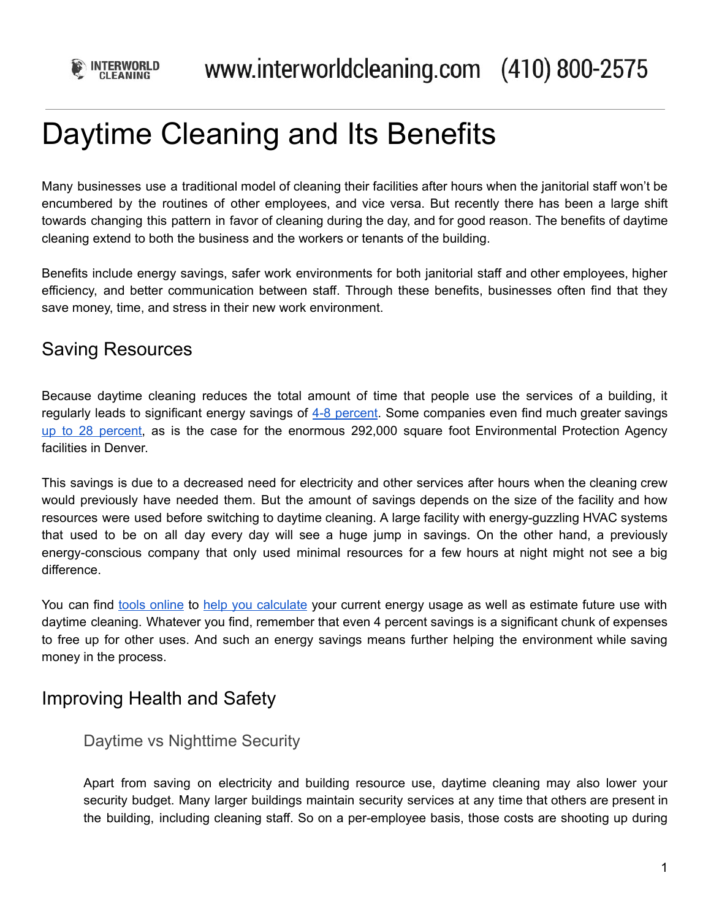

# Daytime Cleaning and Its Benefits

Many businesses use a traditional model of cleaning their facilities after hours when the janitorial staff won't be encumbered by the routines of other employees, and vice versa. But recently there has been a large shift towards changing this pattern in favor of cleaning during the day, and for good reason. The benefits of daytime cleaning extend to both the business and the workers or tenants of the building.

Benefits include energy savings, safer work environments for both janitorial staff and other employees, higher efficiency, and better communication between staff. Through these benefits, businesses often find that they save money, time, and stress in their new work environment.

## Saving Resources

Because daytime cleaning reduces the total amount of time that people use the services of a building, it regularly leads to significant energy savings of 4-8 [percent.](https://www.buildings.com/article-details/articleid/6762/title/clean-up-with-day-cleaning-in-more-ways-than-one) Some companies even find much greater savings up to 28 [percent](https://www.varsityfs.com/value-of-clean-8-energy-savings-daytime-cleaning/), as is the case for the enormous 292,000 square foot Environmental Protection Agency facilities in Denver.

This savings is due to a decreased need for electricity and other services after hours when the cleaning crew would previously have needed them. But the amount of savings depends on the size of the facility and how resources were used before switching to daytime cleaning. A large facility with energy-guzzling HVAC systems that used to be on all day every day will see a huge jump in savings. On the other hand, a previously energy-conscious company that only used minimal resources for a few hours at night might not see a big difference.

You can find tools [online](https://www.varsityfs.com/value-of-clean-8-energy-savings-daytime-cleaning/) to help you [calculate](http://www.trime-eu.org/wp-content/uploads/2017/09/Method-to-calculate-energy-consumption-and-savings-30Aug17.pdf) your current energy usage as well as estimate future use with daytime cleaning. Whatever you find, remember that even 4 percent savings is a significant chunk of expenses to free up for other uses. And such an energy savings means further helping the environment while saving money in the process.

## Improving Health and Safety

### Daytime vs Nighttime Security

Apart from saving on electricity and building resource use, daytime cleaning may also lower your security budget. Many larger buildings maintain security services at any time that others are present in the building, including cleaning staff. So on a per-employee basis, those costs are shooting up during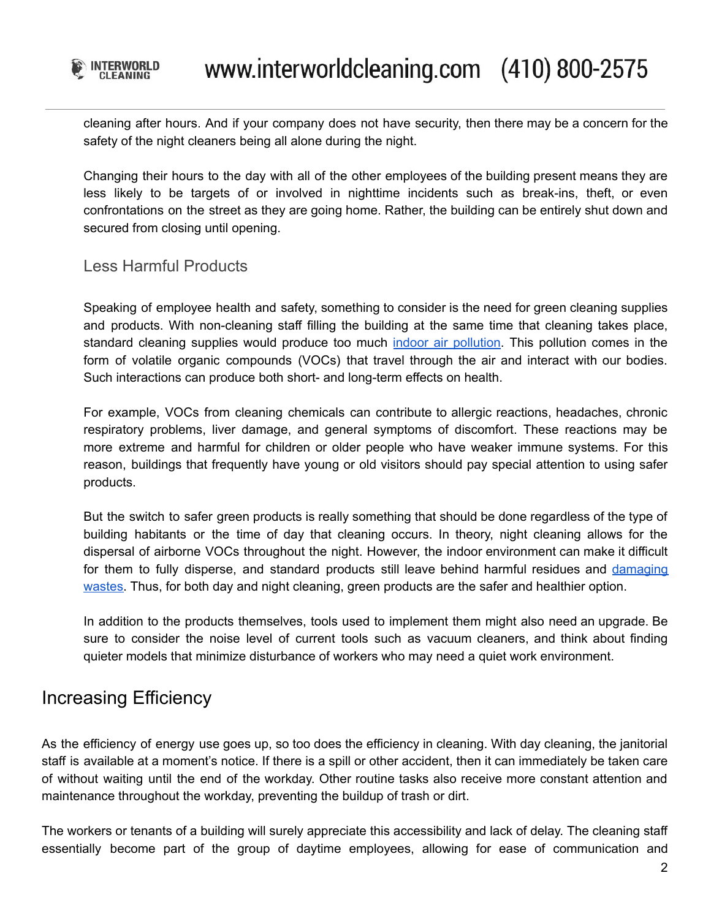

cleaning after hours. And if your company does not have security, then there may be a concern for the safety of the night cleaners being all alone during the night.

Changing their hours to the day with all of the other employees of the building present means they are less likely to be targets of or involved in nighttime incidents such as break-ins, theft, or even confrontations on the street as they are going home. Rather, the building can be entirely shut down and secured from closing until opening.

#### Less Harmful Products

Speaking of employee health and safety, something to consider is the need for green cleaning supplies and products. With non-cleaning staff filling the building at the same time that cleaning takes place, standard cleaning supplies would produce too much indoor air [pollution](https://www.lung.org/our-initiatives/healthy-air/indoor/indoor-air-pollutants/cleaning-supplies-household-chem.html). This pollution comes in the form of volatile organic compounds (VOCs) that travel through the air and interact with our bodies. Such interactions can produce both short- and long-term effects on health.

For example, VOCs from cleaning chemicals can contribute to allergic reactions, headaches, chronic respiratory problems, liver damage, and general symptoms of discomfort. These reactions may be more extreme and harmful for children or older people who have weaker immune systems. For this reason, buildings that frequently have young or old visitors should pay special attention to using safer products.

But the switch to safer green products is really something that should be done regardless of the type of building habitants or the time of day that cleaning occurs. In theory, night cleaning allows for the dispersal of airborne VOCs throughout the night. However, the indoor environment can make it difficult for them to fully disperse, and standard products still leave behind harmful residues and [damaging](https://www.epa.gov/greenerproducts/greening-your-purchase-cleaning-products-guide-federal-purchasers) [wastes](https://www.epa.gov/greenerproducts/greening-your-purchase-cleaning-products-guide-federal-purchasers). Thus, for both day and night cleaning, green products are the safer and healthier option.

In addition to the products themselves, tools used to implement them might also need an upgrade. Be sure to consider the noise level of current tools such as vacuum cleaners, and think about finding quieter models that minimize disturbance of workers who may need a quiet work environment.

## Increasing Efficiency

As the efficiency of energy use goes up, so too does the efficiency in cleaning. With day cleaning, the janitorial staff is available at a moment's notice. If there is a spill or other accident, then it can immediately be taken care of without waiting until the end of the workday. Other routine tasks also receive more constant attention and maintenance throughout the workday, preventing the buildup of trash or dirt.

The workers or tenants of a building will surely appreciate this accessibility and lack of delay. The cleaning staff essentially become part of the group of daytime employees, allowing for ease of communication and